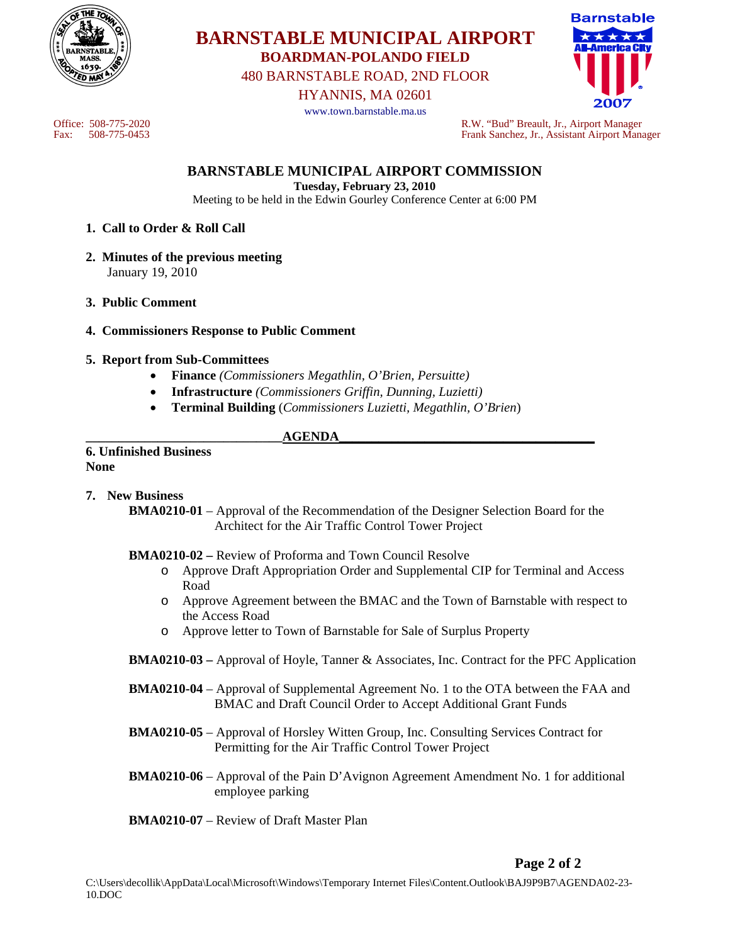

# **BARNSTABLE MUNICIPAL AIRPORT BOARDMAN-POLANDO FIELD**

480 BARNSTABLE ROAD, 2ND FLOOR

HYANNIS, MA 02601

www.town.barnstable.ma.us



Office: 508-775-2020 R.W. "Bud" Breault, Jr., Airport Manager Fax: 508-775-0453 Frank Sanchez, Jr., Assistant Airport Manager

## **BARNSTABLE MUNICIPAL AIRPORT COMMISSION**

**Tuesday, February 23, 2010**  Meeting to be held in the Edwin Gourley Conference Center at 6:00 PM

- **1. Call to Order & Roll Call**
- **2. Minutes of the previous meeting**  January 19, 2010
- **3. Public Comment**
- **4. Commissioners Response to Public Comment**
- **5. Report from Sub-Committees** 
	- **Finance** *(Commissioners Megathlin, O'Brien, Persuitte)*
	- **Infrastructure** *(Commissioners Griffin, Dunning, Luzietti)*
	- **Terminal Building** (*Commissioners Luzietti, Megathlin, O'Brien*)

## **\_\_\_\_\_\_\_\_\_\_\_\_\_\_\_\_\_\_\_\_\_\_\_\_\_\_\_\_\_\_AGENDA\_\_\_\_\_\_\_\_\_\_\_\_\_\_\_\_\_\_\_\_\_\_\_\_\_\_\_\_\_\_\_\_\_\_\_\_\_\_\_**

**6. Unfinished Business None** 

## **7. New Business**

 **BMA0210-01** – Approval of the Recommendation of the Designer Selection Board for the Architect for the Air Traffic Control Tower Project

## **BMA0210-02 –** Review of Proforma and Town Council Resolve

- o Approve Draft Appropriation Order and Supplemental CIP for Terminal and Access Road
- o Approve Agreement between the BMAC and the Town of Barnstable with respect to the Access Road
- o Approve letter to Town of Barnstable for Sale of Surplus Property
- **BMA0210-03** Approval of Hoyle, Tanner & Associates, Inc. Contract for the PFC Application
- **BMA0210-04** Approval of Supplemental Agreement No. 1 to the OTA between the FAA and BMAC and Draft Council Order to Accept Additional Grant Funds
- **BMA0210-05** Approval of Horsley Witten Group, Inc. Consulting Services Contract for Permitting for the Air Traffic Control Tower Project
- **BMA0210-06** Approval of the Pain D'Avignon Agreement Amendment No. 1 for additional employee parking
- **BMA0210-07** Review of Draft Master Plan

## **Page 2 of 2**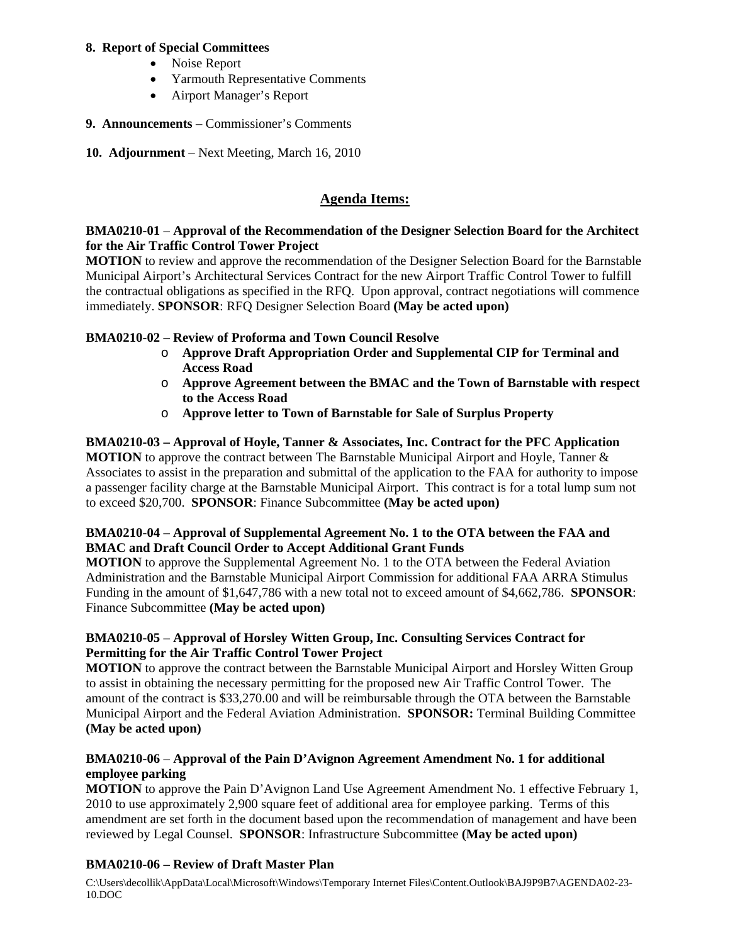## **8. Report of Special Committees**

- Noise Report
- Yarmouth Representative Comments
- Airport Manager's Report
- **9. Announcements** Commissioner's Comments
- **10. Adjournment** Next Meeting, March 16, 2010

## **Agenda Items:**

## **BMA0210-01** – **Approval of the Recommendation of the Designer Selection Board for the Architect for the Air Traffic Control Tower Project**

**MOTION** to review and approve the recommendation of the Designer Selection Board for the Barnstable Municipal Airport's Architectural Services Contract for the new Airport Traffic Control Tower to fulfill the contractual obligations as specified in the RFQ. Upon approval, contract negotiations will commence immediately. **SPONSOR**: RFQ Designer Selection Board **(May be acted upon)**

## **BMA0210-02 – Review of Proforma and Town Council Resolve**

- o **Approve Draft Appropriation Order and Supplemental CIP for Terminal and Access Road**
- o **Approve Agreement between the BMAC and the Town of Barnstable with respect to the Access Road**
- o **Approve letter to Town of Barnstable for Sale of Surplus Property**

**BMA0210-03 – Approval of Hoyle, Tanner & Associates, Inc. Contract for the PFC Application MOTION** to approve the contract between The Barnstable Municipal Airport and Hoyle, Tanner & Associates to assist in the preparation and submittal of the application to the FAA for authority to impose a passenger facility charge at the Barnstable Municipal Airport. This contract is for a total lump sum not to exceed \$20,700. **SPONSOR**: Finance Subcommittee **(May be acted upon)**

## **BMA0210-04 – Approval of Supplemental Agreement No. 1 to the OTA between the FAA and BMAC and Draft Council Order to Accept Additional Grant Funds**

**MOTION** to approve the Supplemental Agreement No. 1 to the OTA between the Federal Aviation Administration and the Barnstable Municipal Airport Commission for additional FAA ARRA Stimulus Funding in the amount of \$1,647,786 with a new total not to exceed amount of \$4,662,786. **SPONSOR**: Finance Subcommittee **(May be acted upon)**

## **BMA0210-05** – **Approval of Horsley Witten Group, Inc. Consulting Services Contract for Permitting for the Air Traffic Control Tower Project**

**MOTION** to approve the contract between the Barnstable Municipal Airport and Horsley Witten Group to assist in obtaining the necessary permitting for the proposed new Air Traffic Control Tower. The amount of the contract is \$33,270.00 and will be reimbursable through the OTA between the Barnstable Municipal Airport and the Federal Aviation Administration. **SPONSOR:** Terminal Building Committee **(May be acted upon)** 

## **BMA0210-06** – **Approval of the Pain D'Avignon Agreement Amendment No. 1 for additional employee parking**

**MOTION** to approve the Pain D'Avignon Land Use Agreement Amendment No. 1 effective February 1, 2010 to use approximately 2,900 square feet of additional area for employee parking. Terms of this amendment are set forth in the document based upon the recommendation of management and have been reviewed by Legal Counsel. **SPONSOR**: Infrastructure Subcommittee **(May be acted upon)**

## **BMA0210-06 – Review of Draft Master Plan**

C:\Users\decollik\AppData\Local\Microsoft\Windows\Temporary Internet Files\Content.Outlook\BAJ9P9B7\AGENDA02-23- 10.DOC